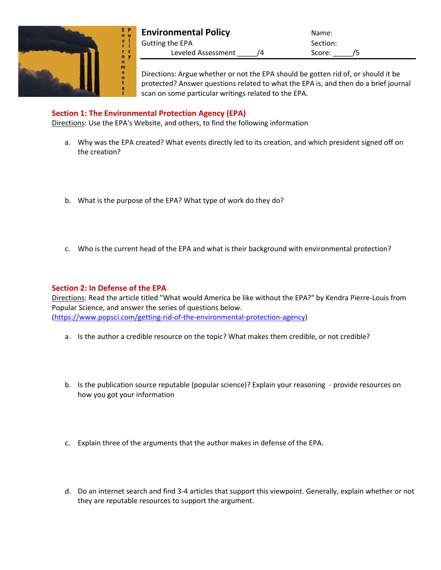

| <b>Environmental Policy</b> | Name:    |  |
|-----------------------------|----------|--|
| Gutting the EPA             | Section: |  |
| Leveled Assessment          | Score:   |  |

Directions: Argue whether or not the EPA should be gotten rid of, or should it be protected? Answer questions related to what the EPA is, and then do a brief journal scan on some particular writings related to the EPA.

## **Section 1: The Environmental Protection Agency (EPA)**

Directions: Use the EPA's Website, and others, to find the following information

- a. Why was the EPA created? What events directly led to its creation, and which president signed off on the creation?
- b. What is the purpose of the EPA? What type of work do they do?
- c. Who is the current head of the EPA and what is their background with environmental protection?

## **Section 2: In Defense of the EPA**

Directions: Read the article titled "What would America be like without the EPA?" by Kendra Pierre-Louis from Popular Science, and answer the series of questions below. [\(https://www.popsci.com/getting-rid-of-the-environmental-protection-agency\)](https://www.popsci.com/getting-rid-of-the-environmental-protection-agency)

- a. Is the author a credible resource on the topic? What makes them credible, or not credible?
- b. Is the publication source reputable (popular science)? Explain your reasoning provide resources on how you got your information
- c. Explain three of the arguments that the author makes in defense of the EPA.
- d. Do an internet search and find 3-4 articles that support this viewpoint. Generally, explain whether or not they are reputable resources to support the argument.